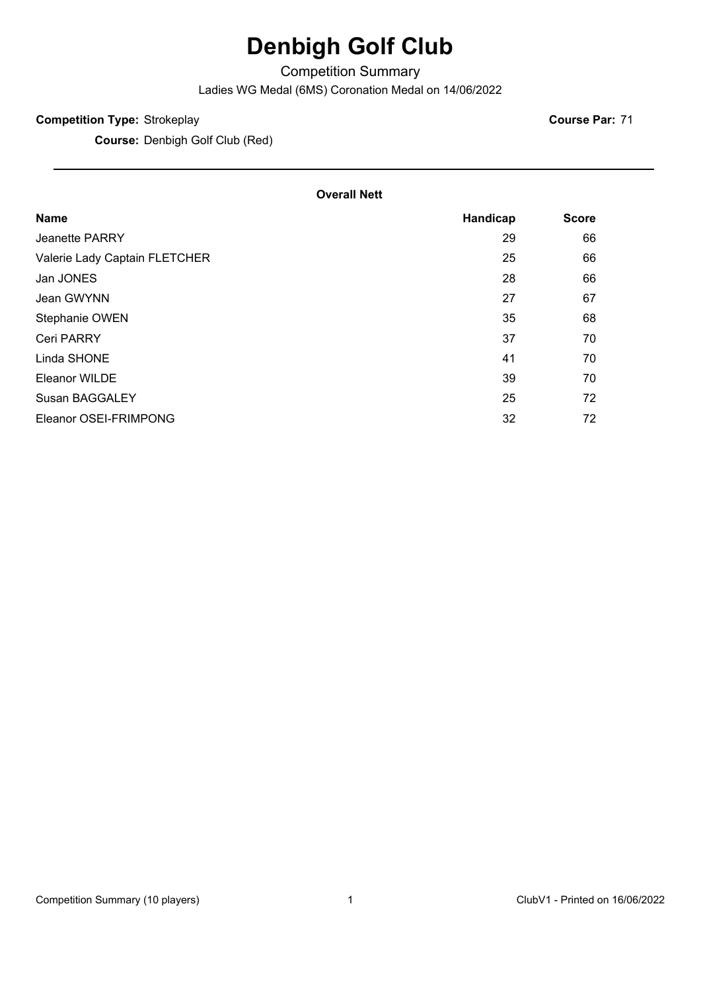# **Denbigh Golf Club**

Competition Summary

Ladies WG Medal (6MS) Coronation Medal on 14/06/2022

#### **Competition Type:** Strokeplay

**Course:** Denbigh Golf Club (Red)

**Course Par:** 71

#### **Overall Nett**

| <b>Name</b>                   | Handicap | <b>Score</b> |
|-------------------------------|----------|--------------|
| Jeanette PARRY                | 29       | 66           |
| Valerie Lady Captain FLETCHER | 25       | 66           |
| Jan JONES                     | 28       | 66           |
| Jean GWYNN                    | 27       | 67           |
| Stephanie OWEN                | 35       | 68           |
| <b>Ceri PARRY</b>             | 37       | 70           |
| Linda SHONE                   | 41       | 70           |
| <b>Eleanor WILDE</b>          | 39       | 70           |
| <b>Susan BAGGALEY</b>         | 25       | 72           |
| Eleanor OSEI-FRIMPONG         | 32       | 72           |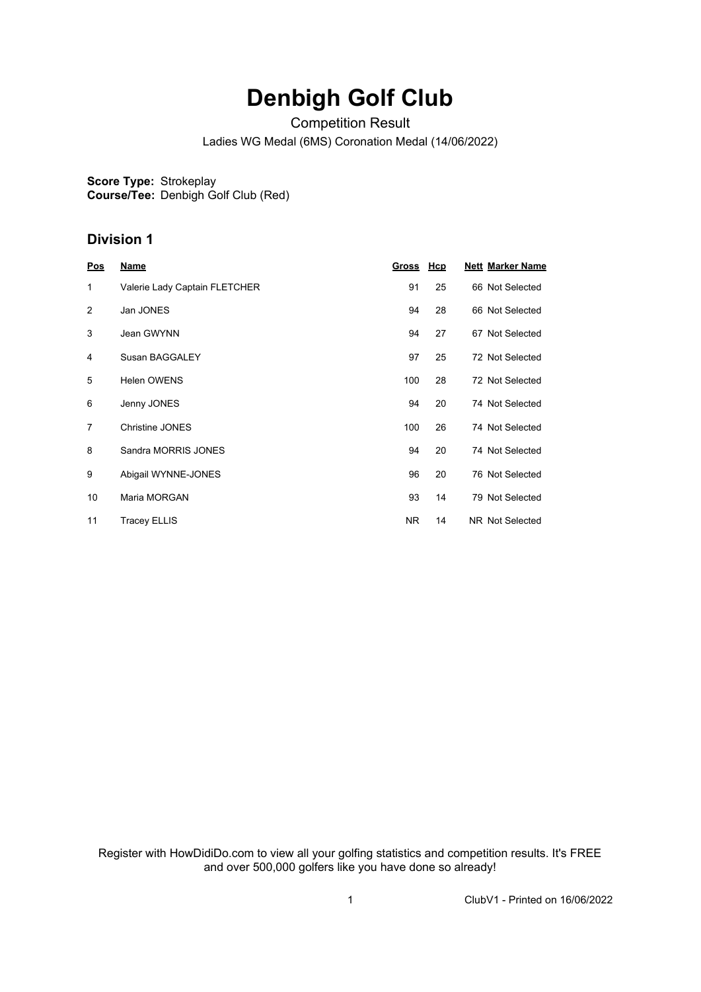# **Denbigh Golf Club**

Competition Result

Ladies WG Medal (6MS) Coronation Medal (14/06/2022)

**Score Type:** Strokeplay

**Course/Tee:** Denbigh Golf Club (Red)

### **Division 1**

| Pos            | <b>Name</b>                   | <b>Gross</b> | <b>Hcp</b> | <b>Nett Marker Name</b> |
|----------------|-------------------------------|--------------|------------|-------------------------|
| 1              | Valerie Lady Captain FLETCHER | 91           | 25         | 66 Not Selected         |
| 2              | Jan JONES                     | 94           | 28         | 66 Not Selected         |
| 3              | Jean GWYNN                    | 94           | 27         | 67 Not Selected         |
| 4              | Susan BAGGALEY                | 97           | 25         | 72 Not Selected         |
| 5              | <b>Helen OWENS</b>            | 100          | 28         | 72 Not Selected         |
| 6              | Jenny JONES                   | 94           | 20         | 74 Not Selected         |
| $\overline{7}$ | <b>Christine JONES</b>        | 100          | 26         | 74 Not Selected         |
| 8              | Sandra MORRIS JONES           | 94           | 20         | 74 Not Selected         |
| 9              | Abigail WYNNE-JONES           | 96           | 20         | 76 Not Selected         |
| 10             | Maria MORGAN                  | 93           | 14         | 79 Not Selected         |
| 11             | <b>Tracey ELLIS</b>           | NR.          | 14         | NR Not Selected         |

Register with HowDidiDo.com to view all your golfing statistics and competition results. It's FREE and over 500,000 golfers like you have done so already!